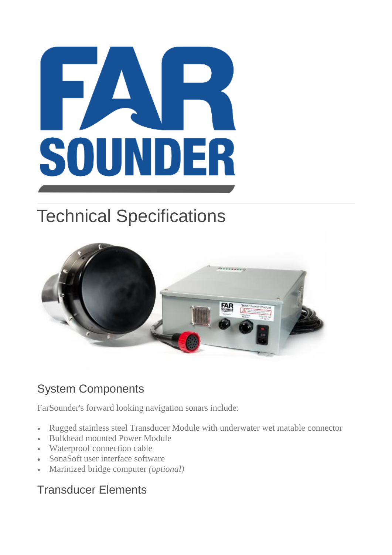# $\mathbf{I}$ SOU NDER

## Technical Specifications



### System Components

FarSounder's forward looking navigation sonars include:

- Rugged stainless steel Transducer Module with underwater wet matable connector
- Bulkhead mounted Power Module
- Waterproof connection cable
- SonaSoft user interface software
- Marinized bridge computer *(optional)*

#### Transducer Elements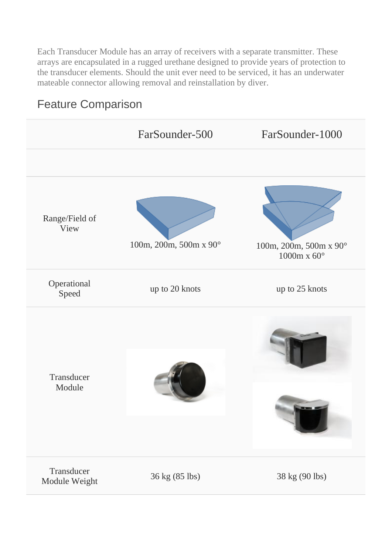Each Transducer Module has an array of receivers with a separate transmitter. These arrays are encapsulated in a rugged urethane designed to provide years of protection to the transducer elements. Should the unit ever need to be serviced, it has an underwater mateable connector allowing removal and reinstallation by diver.

### Feature Comparison

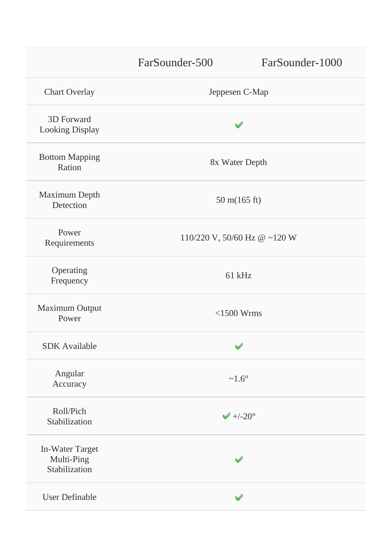FarSounder-500 FarSounder-1000

3D Forward Looking Display

Bottom Mapping Philosophie<br>Ration 8x Water Depth

Maximum Depth  $\frac{1}{2}$  50 m(165 ft)

Power

Operating Sperating 61 kHz

Maximum Output Power <1500 Wrms

SDK Available

Angular Anguiat  $\sim 1.6^{\circ}$ 

Roll/Pich  $\blacktriangleright$  KOII/PICN<br>Stabilization  $\blacktriangleright$  +/-20°

In-Water Target Multi-Ping Stabilization

User Definable

Chart Overlay Jeppesen C-Map

৶

Requirements  $110/220 \text{ V}$ ,  $50/60 \text{ Hz}$  @ ~120 W

✅